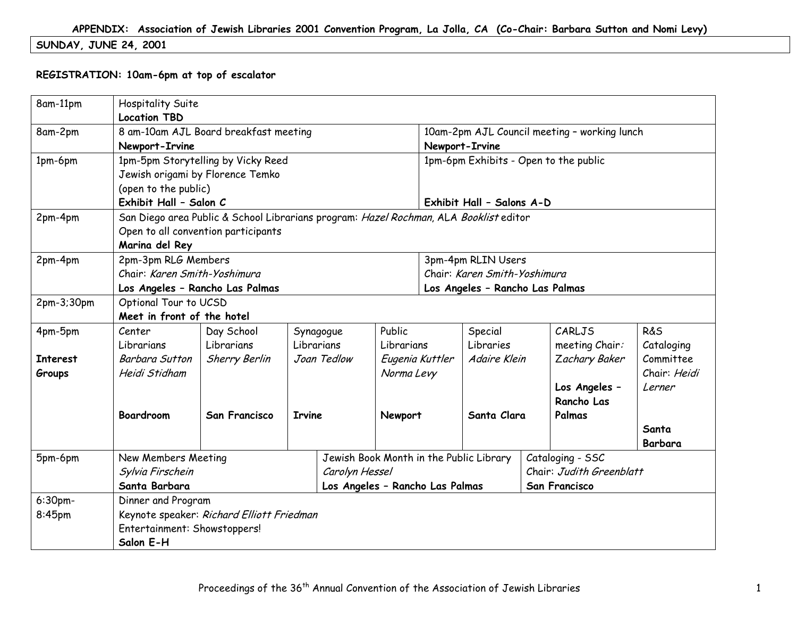# **SUNDAY, JUNE 24, 2001**

#### **REGISTRATION: 10am-6pm at top of escalator**

| 8am-11pm        | <b>Hospitality Suite</b>                                                 |                                                                                       |               |             |            |                                 |                                         |  |                                              |                |  |
|-----------------|--------------------------------------------------------------------------|---------------------------------------------------------------------------------------|---------------|-------------|------------|---------------------------------|-----------------------------------------|--|----------------------------------------------|----------------|--|
|                 | <b>Location TBD</b>                                                      |                                                                                       |               |             |            |                                 |                                         |  |                                              |                |  |
| 8am-2pm         | 8 am-10am AJL Board breakfast meeting                                    |                                                                                       |               |             |            |                                 |                                         |  | 10am-2pm AJL Council meeting - working lunch |                |  |
|                 | Newport-Irvine                                                           |                                                                                       |               |             |            |                                 | Newport-Irvine                          |  |                                              |                |  |
| 1pm-6pm         |                                                                          | 1pm-5pm Storytelling by Vicky Reed                                                    |               |             |            |                                 | 1pm-6pm Exhibits - Open to the public   |  |                                              |                |  |
|                 |                                                                          | Jewish origami by Florence Temko                                                      |               |             |            |                                 |                                         |  |                                              |                |  |
|                 | (open to the public)                                                     |                                                                                       |               |             |            |                                 |                                         |  |                                              |                |  |
|                 | Exhibit Hall - Salon C                                                   |                                                                                       |               |             |            |                                 | Exhibit Hall - Salons A-D               |  |                                              |                |  |
| 2pm-4pm         |                                                                          | San Diego area Public & School Librarians program: Hazel Rochman, ALA Booklist editor |               |             |            |                                 |                                         |  |                                              |                |  |
|                 |                                                                          | Open to all convention participants                                                   |               |             |            |                                 |                                         |  |                                              |                |  |
|                 | Marina del Rey                                                           |                                                                                       |               |             |            |                                 |                                         |  |                                              |                |  |
| 2pm-4pm         | 2pm-3pm RLG Members                                                      |                                                                                       |               |             |            |                                 | 3pm-4pm RLIN Users                      |  |                                              |                |  |
|                 | Chair: Karen Smith-Yoshimura                                             |                                                                                       |               |             |            |                                 | Chair: Karen Smith-Yoshimura            |  |                                              |                |  |
|                 |                                                                          | Los Angeles - Rancho Las Palmas                                                       |               |             |            |                                 | Los Angeles - Rancho Las Palmas         |  |                                              |                |  |
| 2pm-3;30pm      | Optional Tour to UCSD                                                    |                                                                                       |               |             |            |                                 |                                         |  |                                              |                |  |
|                 | Meet in front of the hotel                                               |                                                                                       |               |             |            |                                 |                                         |  |                                              |                |  |
| 4pm-5pm         | Center                                                                   | Day School                                                                            |               | Synagogue   | Public     |                                 | Special                                 |  | CARLJS                                       | <b>R&amp;S</b> |  |
|                 | Librarians                                                               | Librarians                                                                            |               | Librarians  | Librarians | Libraries                       |                                         |  | meeting Chair:                               | Cataloging     |  |
| <b>Interest</b> | <b>Barbara Sutton</b>                                                    | <b>Sherry Berlin</b>                                                                  |               | Joan Tedlow |            | Eugenia Kuttler<br>Adaire Klein |                                         |  | Zachary Baker                                | Committee      |  |
| Groups          | Heidi Stidham                                                            |                                                                                       |               |             | Norma Levy |                                 |                                         |  |                                              | Chair: Heidi   |  |
|                 |                                                                          |                                                                                       |               |             |            |                                 | Los Angeles -                           |  |                                              | Lerner         |  |
|                 |                                                                          |                                                                                       |               |             |            |                                 |                                         |  | Rancho Las                                   |                |  |
|                 | <b>Boardroom</b>                                                         | <b>San Francisco</b>                                                                  | <b>Irvine</b> | Newport     |            |                                 | Santa Clara                             |  | Palmas                                       |                |  |
|                 |                                                                          |                                                                                       |               |             |            |                                 |                                         |  |                                              | Santa          |  |
|                 |                                                                          |                                                                                       |               |             |            |                                 |                                         |  |                                              | Barbara        |  |
| 5pm-6pm         | New Members Meeting                                                      |                                                                                       |               |             |            |                                 | Jewish Book Month in the Public Library |  | Cataloging - SSC                             |                |  |
|                 |                                                                          | Sylvia Firschein                                                                      |               |             |            | Carolyn Hessel                  |                                         |  | Chair: Judith Greenblatt                     |                |  |
|                 | Santa Barbara<br>Los Angeles - Rancho Las Palmas<br><b>San Francisco</b> |                                                                                       |               |             |            |                                 |                                         |  |                                              |                |  |
| 6:30pm-         | Dinner and Program                                                       |                                                                                       |               |             |            |                                 |                                         |  |                                              |                |  |
| 8:45pm          |                                                                          | Keynote speaker: Richard Elliott Friedman                                             |               |             |            |                                 |                                         |  |                                              |                |  |
|                 | Entertainment: Showstoppers!                                             |                                                                                       |               |             |            |                                 |                                         |  |                                              |                |  |
|                 | Salon E-H                                                                |                                                                                       |               |             |            |                                 |                                         |  |                                              |                |  |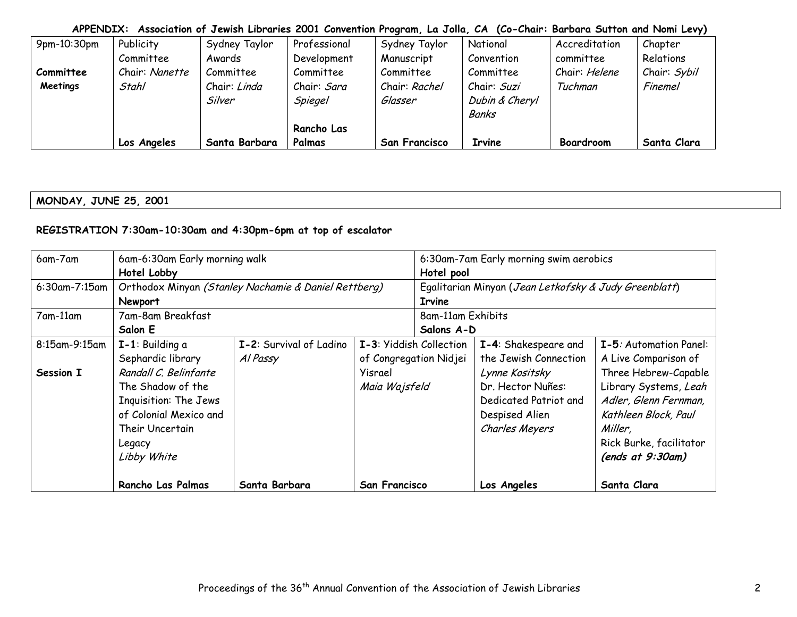| 9pm-10:30pm | Publicity      | Sydney Taylor | Professional       | Sydney Taylor        | National       | Accreditation | Chapter        |
|-------------|----------------|---------------|--------------------|----------------------|----------------|---------------|----------------|
|             | Committee      | Awards        | Development        | Manuscript           | Convention     | committee     | Relations      |
| Committee   | Chair: Nanette | Committee     | Committee          | Committee            | Committee      | Chair: Helene | Chair: Sybil   |
| Meetings    | Stahl          | Chair: Linda  | Chair: <i>Sara</i> | Chair: Rachel        | Chair: Suzi    | Tuchman       | <b>Finemel</b> |
|             |                | Silver        | Spiegel            | Glasser              | Dubin & Cheryl |               |                |
|             |                |               |                    |                      | <b>Banks</b>   |               |                |
|             |                |               | Rancho Las         |                      |                |               |                |
|             | Los Angeles    | Santa Barbara | Palmas             | <b>San Francisco</b> | Irvine         | Boardroom     | Santa Clara    |

**MONDAY, JUNE 25, 2001** 

# **REGISTRATION 7:30am-10:30am and 4:30pm-6pm at top of escalator**

| 6am-7am          | 6am-6:30am Early morning walk |                                                      |                         |                   | 6:30am-7am Early morning swim aerobics                |                         |  |  |
|------------------|-------------------------------|------------------------------------------------------|-------------------------|-------------------|-------------------------------------------------------|-------------------------|--|--|
|                  | Hotel Lobby                   |                                                      |                         | Hotel pool        |                                                       |                         |  |  |
| $6:30$ am-7:15am |                               | Orthodox Minyan (Stanley Nachamie & Daniel Rettberg) |                         |                   | Egalitarian Minyan (Jean Letkofsky & Judy Greenblatt) |                         |  |  |
|                  | Newport                       |                                                      |                         | <b>Irvine</b>     |                                                       |                         |  |  |
| 7am-11am         | 7am-8am Breakfast             |                                                      |                         | 8am-11am Exhibits |                                                       |                         |  |  |
|                  | Salon E                       |                                                      |                         | Salons A-D        |                                                       |                         |  |  |
| 8:15am-9:15am    | $I-1$ : Building a            | I-2: Survival of Ladino                              | I-3: Yiddish Collection |                   | I-4: Shakespeare and                                  | I-5: Automation Panel:  |  |  |
|                  | Sephardic library             | Al Passy                                             | of Congregation Nidjei  |                   | the Jewish Connection                                 | A Live Comparison of    |  |  |
| Session I        | Randall C. Belinfante         |                                                      | Yisrael                 |                   | Lynne Kositsky                                        | Three Hebrew-Capable    |  |  |
|                  | The Shadow of the             |                                                      | Maia Wajsfeld           |                   | Dr. Hector Nuñes:                                     | Library Systems, Leah   |  |  |
|                  | Inquisition: The Jews         |                                                      |                         |                   | Dedicated Patriot and                                 | Adler, Glenn Fernman,   |  |  |
|                  | of Colonial Mexico and        |                                                      |                         |                   | Despised Alien                                        | Kathleen Block, Paul    |  |  |
|                  | Their Uncertain               |                                                      |                         |                   | Charles Meyers                                        | Miller,                 |  |  |
|                  | Legacy                        |                                                      |                         |                   |                                                       | Rick Burke, facilitator |  |  |
|                  | Libby White                   |                                                      |                         |                   |                                                       | (ends at 9:30am)        |  |  |
|                  | Rancho Las Palmas             | Santa Barbara                                        | San Francisco           |                   | Los Angeles                                           | Santa Clara             |  |  |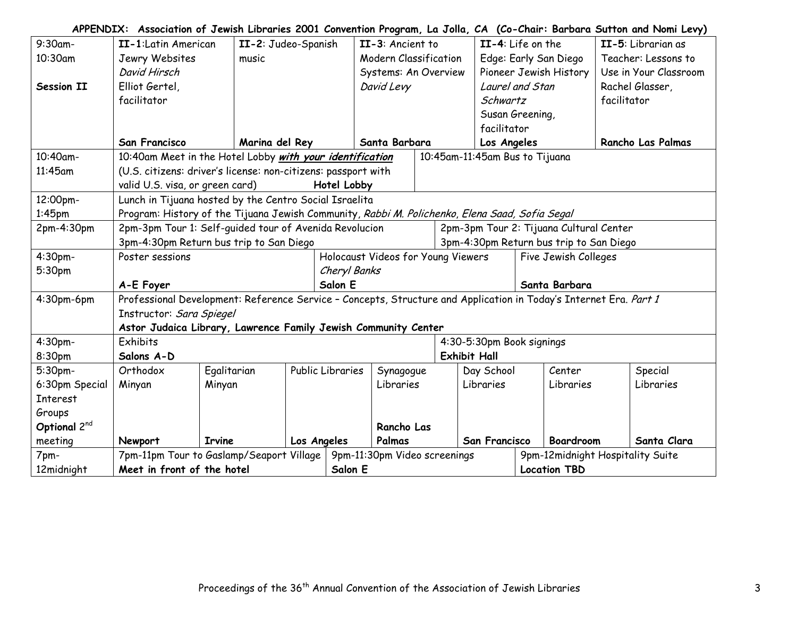| 9:30am-         | II-1:Latin American                                                                                               |                                                                | II-2: Judeo-Spanish<br>II-3: Ancient to |                  |                              |                     | II-4: Life on the   |                                         |  |                                  | II-5: Librarian as |                          |
|-----------------|-------------------------------------------------------------------------------------------------------------------|----------------------------------------------------------------|-----------------------------------------|------------------|------------------------------|---------------------|---------------------|-----------------------------------------|--|----------------------------------|--------------------|--------------------------|
| 10:30am         | Jewry Websites                                                                                                    | music                                                          |                                         |                  | <b>Modern Classification</b> |                     |                     |                                         |  | Edge: Early San Diego            |                    | Teacher: Lessons to      |
|                 | David Hirsch                                                                                                      |                                                                |                                         |                  | Systems: An Overview         |                     |                     |                                         |  | Pioneer Jewish History           |                    | Use in Your Classroom    |
| Session II      | Elliot Gertel,                                                                                                    |                                                                |                                         |                  | David Levy                   |                     |                     | Laurel and Stan                         |  |                                  |                    | Rachel Glasser,          |
|                 | facilitator                                                                                                       |                                                                |                                         |                  |                              |                     |                     | Schwartz                                |  |                                  | facilitator        |                          |
|                 |                                                                                                                   |                                                                |                                         |                  |                              |                     |                     | Susan Greening,                         |  |                                  |                    |                          |
|                 |                                                                                                                   |                                                                |                                         |                  |                              |                     |                     | facilitator                             |  |                                  |                    |                          |
|                 | San Francisco                                                                                                     | Marina del Rey                                                 |                                         |                  | Santa Barbara                |                     |                     | Los Angeles                             |  |                                  |                    | <b>Rancho Las Palmas</b> |
| 10:40am-        | 10:40am Meet in the Hotel Lobby with your identification                                                          |                                                                |                                         |                  |                              |                     |                     | 10:45am-11:45am Bus to Tijuana          |  |                                  |                    |                          |
| 11:45am         |                                                                                                                   | (U.S. citizens: driver's license: non-citizens: passport with  |                                         |                  |                              |                     |                     |                                         |  |                                  |                    |                          |
|                 | valid U.S. visa, or green card)                                                                                   |                                                                |                                         | Hotel Lobby      |                              |                     |                     |                                         |  |                                  |                    |                          |
| 12:00pm-        |                                                                                                                   | Lunch in Tijuana hosted by the Centro Social Israelita         |                                         |                  |                              |                     |                     |                                         |  |                                  |                    |                          |
| $1:45$ pm       | Program: History of the Tijuana Jewish Community, Rabbi M. Polichenko, Elena Saad, Sofia Segal                    |                                                                |                                         |                  |                              |                     |                     |                                         |  |                                  |                    |                          |
| 2pm-4:30pm      | 2pm-3pm Tour 1: Self-quided tour of Avenida Revolucion                                                            |                                                                |                                         |                  |                              |                     |                     | 2pm-3pm Tour 2: Tijuana Cultural Center |  |                                  |                    |                          |
|                 | 3pm-4:30pm Return bus trip to San Diego                                                                           |                                                                |                                         |                  |                              |                     |                     | 3pm-4:30pm Return bus trip to San Diego |  |                                  |                    |                          |
| 4:30pm-         | Holocaust Videos for Young Viewers<br>Poster sessions                                                             |                                                                |                                         |                  |                              |                     |                     |                                         |  | Five Jewish Colleges             |                    |                          |
| 5:30pm          | Cheryl Banks                                                                                                      |                                                                |                                         |                  |                              |                     |                     |                                         |  |                                  |                    |                          |
|                 | A-E Foyer                                                                                                         |                                                                |                                         | Salon E          |                              |                     | Santa Barbara       |                                         |  |                                  |                    |                          |
| 4:30pm-6pm      | Professional Development: Reference Service - Concepts, Structure and Application in Today's Internet Era. Part 1 |                                                                |                                         |                  |                              |                     |                     |                                         |  |                                  |                    |                          |
|                 | Instructor: Sara Spiegel                                                                                          |                                                                |                                         |                  |                              |                     |                     |                                         |  |                                  |                    |                          |
|                 |                                                                                                                   | Astor Judaica Library, Lawrence Family Jewish Community Center |                                         |                  |                              |                     |                     |                                         |  |                                  |                    |                          |
| 4:30pm-         | Exhibits                                                                                                          |                                                                |                                         |                  |                              |                     |                     | 4:30-5:30pm Book signings               |  |                                  |                    |                          |
| 8:30pm          | Salons A-D                                                                                                        |                                                                |                                         |                  |                              |                     | <b>Exhibit Hall</b> |                                         |  |                                  |                    |                          |
| 5:30pm-         | Orthodox                                                                                                          | Egalitarian                                                    |                                         | Public Libraries | Synagogue                    |                     |                     | Day School                              |  | Center                           |                    | Special                  |
| 6:30pm Special  | Minyan                                                                                                            | Minyan                                                         |                                         |                  | Libraries                    |                     |                     | Libraries                               |  | Libraries                        |                    | Libraries                |
| <b>Interest</b> |                                                                                                                   |                                                                |                                         |                  |                              |                     |                     |                                         |  |                                  |                    |                          |
| Groups          |                                                                                                                   |                                                                |                                         |                  |                              |                     |                     |                                         |  |                                  |                    |                          |
| Optional 2nd    |                                                                                                                   |                                                                |                                         |                  | Rancho Las                   |                     |                     |                                         |  |                                  |                    |                          |
| meeting         | Newport                                                                                                           | <b>Irvine</b>                                                  | Los Angeles                             |                  | Palmas                       |                     |                     | San Francisco                           |  | Boardroom                        |                    | Santa Clara              |
| 7pm-            |                                                                                                                   | 7pm-11pm Tour to Gaslamp/Seaport Village                       |                                         |                  | 9pm-11:30pm Video screenings |                     |                     |                                         |  | 9pm-12midnight Hospitality Suite |                    |                          |
| 12midnight      | Meet in front of the hotel<br>Salon E                                                                             |                                                                |                                         |                  |                              | <b>Location TBD</b> |                     |                                         |  |                                  |                    |                          |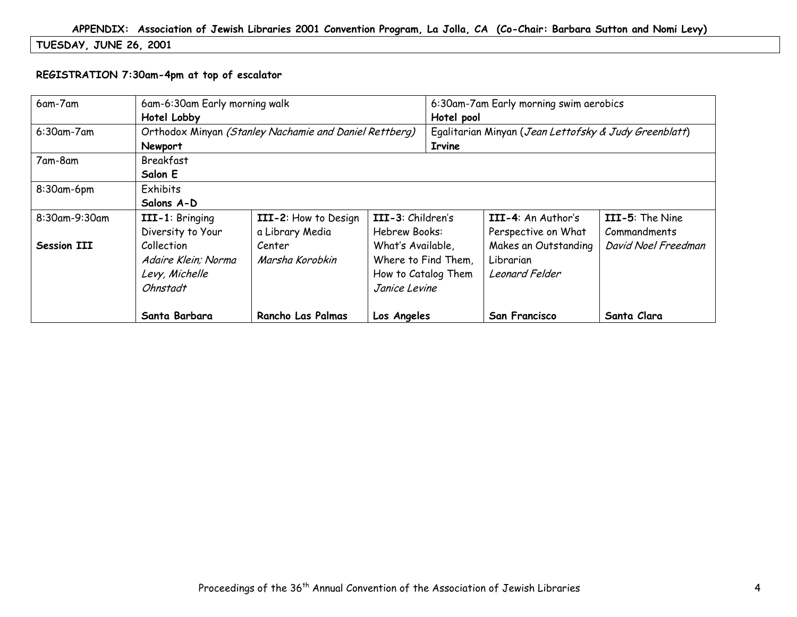# **TUESDAY, JUNE 26, 2001**

#### **REGISTRATION 7:30am-4pm at top of escalator**

| 6am-7am            | 6am-6:30am Early morning walk<br>Hotel Lobby                           | 6:30am-7am Early morning swim aerobics<br>Hotel pool   |                                                                                  |  |                                                     |                                 |  |
|--------------------|------------------------------------------------------------------------|--------------------------------------------------------|----------------------------------------------------------------------------------|--|-----------------------------------------------------|---------------------------------|--|
| 6:30am-7am         | Newport                                                                | Orthodox Minyan (Stanley Nachamie and Daniel Rettberg) | Egalitarian Minyan (Jean Lettofsky & Judy Greenblatt)<br><b>Irvine</b>           |  |                                                     |                                 |  |
| 7am-8am            | Breakfast<br>Salon E                                                   |                                                        |                                                                                  |  |                                                     |                                 |  |
| 8:30am-6pm         | Exhibits<br>Salons A-D                                                 |                                                        |                                                                                  |  |                                                     |                                 |  |
| 8:30am-9:30am      | III-1: Bringing<br>Diversity to Your                                   | III-2: How to Design<br>a Library Media                | III-3: Children's<br>Hebrew Books:                                               |  | III-4: An Author's<br>Perspective on What           | III-5: The Nine<br>Commandments |  |
| <b>Session III</b> | <b>Collection</b><br>Adaire Klein; Norma<br>Levy, Michelle<br>Ohnstadt | Center<br>Marsha Korobkin                              | What's Available,<br>Where to Find Them,<br>How to Catalog Them<br>Janice Levine |  | Makes an Outstanding<br>Librarian<br>Leonard Felder | David Noel Freedman             |  |
|                    | Santa Barbara                                                          | <b>Rancho Las Palmas</b>                               | Los Angeles                                                                      |  | <b>San Francisco</b>                                | Santa Clara                     |  |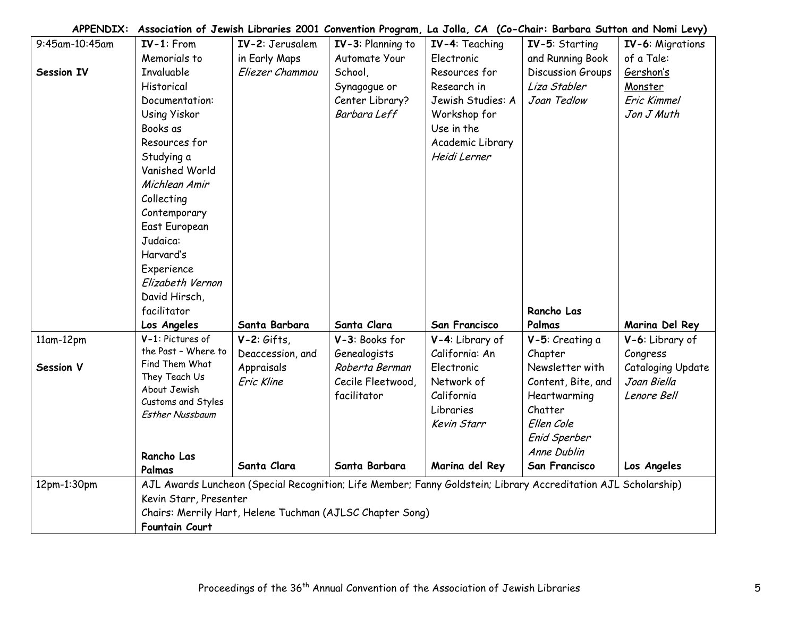| 9:45am-10:45am    | $IV-1$ : From                      | IV-2: Jerusalem                                           | IV-3: Planning to | IV-4: Teaching                                                                                                 | IV-5: Starting     | IV-6: Migrations         |
|-------------------|------------------------------------|-----------------------------------------------------------|-------------------|----------------------------------------------------------------------------------------------------------------|--------------------|--------------------------|
|                   | Memorials to                       | in Early Maps                                             | Automate Your     | Electronic                                                                                                     | and Running Book   | of a Tale:               |
| <b>Session IV</b> | <b>Invaluable</b>                  | Eliezer Chammou                                           | School,           | Resources for                                                                                                  | Discussion Groups  | <u>Gershon's</u>         |
|                   | Historical                         |                                                           | Synagogue or      | Research in                                                                                                    | Liza Stabler       | Monster                  |
|                   | Documentation:                     |                                                           | Center Library?   | Jewish Studies: A                                                                                              | Joan Tedlow        | Eric Kimmel              |
|                   | Using Yiskor                       |                                                           | Barbara Leff      | Workshop for                                                                                                   |                    | Jon J Muth               |
|                   | Books as                           |                                                           |                   | Use in the                                                                                                     |                    |                          |
|                   | Resources for                      |                                                           |                   | Academic Library                                                                                               |                    |                          |
|                   | Studying a                         |                                                           |                   | Heidi Lerner                                                                                                   |                    |                          |
|                   | Vanished World                     |                                                           |                   |                                                                                                                |                    |                          |
|                   | Michlean Amir                      |                                                           |                   |                                                                                                                |                    |                          |
|                   | Collecting                         |                                                           |                   |                                                                                                                |                    |                          |
|                   | Contemporary                       |                                                           |                   |                                                                                                                |                    |                          |
|                   | East European                      |                                                           |                   |                                                                                                                |                    |                          |
|                   | Judaica:                           |                                                           |                   |                                                                                                                |                    |                          |
|                   | Harvard's                          |                                                           |                   |                                                                                                                |                    |                          |
|                   | Experience                         |                                                           |                   |                                                                                                                |                    |                          |
|                   | Elizabeth Vernon                   |                                                           |                   |                                                                                                                |                    |                          |
|                   | David Hirsch,                      |                                                           |                   |                                                                                                                |                    |                          |
|                   | facilitator                        |                                                           |                   |                                                                                                                | Rancho Las         |                          |
|                   | Los Angeles                        | Santa Barbara                                             | Santa Clara       | San Francisco                                                                                                  | Palmas             | Marina Del Rey           |
| 11am-12pm         | V-1: Pictures of                   | $V-2:$ Gifts,                                             | V-3: Books for    | V-4: Library of                                                                                                | V-5: Creating a    | V-6: Library of          |
|                   | the Past - Where to                | Deaccession, and                                          | Genealogists      | California: An                                                                                                 | Chapter            | Congress                 |
| Session V         | Find Them What                     | Appraisals                                                | Roberta Berman    | Electronic                                                                                                     | Newsletter with    | <b>Cataloging Update</b> |
|                   | They Teach Us                      | Eric Kline                                                | Cecile Fleetwood, | Network of                                                                                                     | Content, Bite, and | Joan Biella              |
|                   | About Jewish<br>Customs and Styles |                                                           | facilitator       | California                                                                                                     | Heartwarming       | Lenore Bell              |
|                   | <b>Esther Nussbaum</b>             |                                                           |                   | Libraries                                                                                                      | Chatter            |                          |
|                   |                                    |                                                           |                   | Kevin Starr                                                                                                    | Ellen Cole         |                          |
|                   |                                    |                                                           |                   |                                                                                                                | Enid Sperber       |                          |
|                   | Rancho Las                         |                                                           |                   |                                                                                                                | Anne Dublin        |                          |
|                   | Palmas                             | Santa Clara                                               | Santa Barbara     | Marina del Rey                                                                                                 | San Francisco      | Los Angeles              |
| 12pm-1:30pm       |                                    |                                                           |                   | AJL Awards Luncheon (Special Recognition; Life Member; Fanny Goldstein; Library Accreditation AJL Scholarship) |                    |                          |
|                   | Kevin Starr, Presenter             |                                                           |                   |                                                                                                                |                    |                          |
|                   |                                    | Chairs: Merrily Hart, Helene Tuchman (AJLSC Chapter Song) |                   |                                                                                                                |                    |                          |
|                   | <b>Fountain Court</b>              |                                                           |                   |                                                                                                                |                    |                          |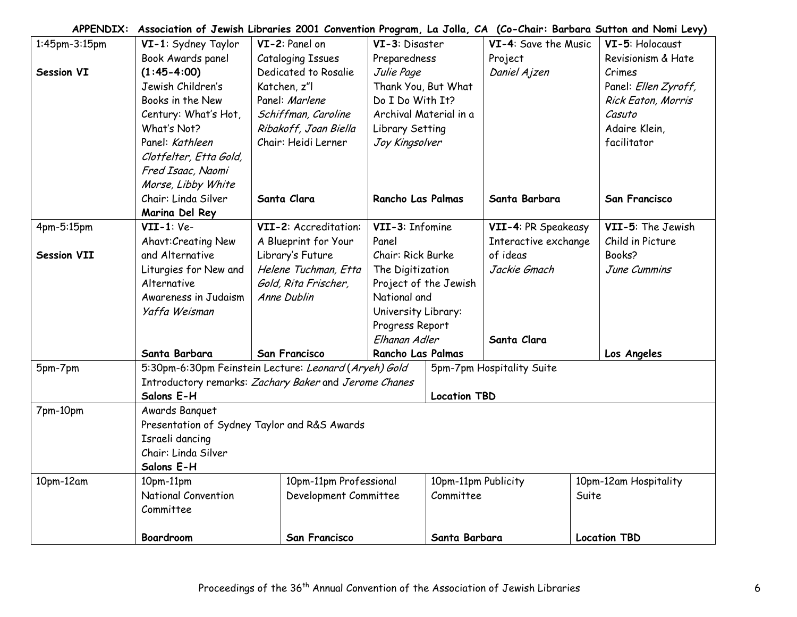| 1:45pm-3:15pm       | VI-1: Sydney Taylor                                   | VI-2: Panel on           |                        | VI-3: Disaster         |                       | VI-4: Save the Music      |       | VI-5: Holocaust       |
|---------------------|-------------------------------------------------------|--------------------------|------------------------|------------------------|-----------------------|---------------------------|-------|-----------------------|
|                     | Book Awards panel                                     | <b>Cataloging Issues</b> |                        | Preparedness           |                       | Project                   |       | Revisionism & Hate    |
| Session VI          | $(1:45-4:00)$                                         | Dedicated to Rosalie     |                        | Julie Page             |                       | Daniel Ajzen              |       | Crimes                |
|                     | Jewish Children's                                     | Katchen, z"l             |                        |                        | Thank You, But What   |                           |       | Panel: Ellen Zyroff,  |
|                     | Books in the New                                      | Panel: Marlene           |                        | Do I Do With It?       |                       |                           |       | Rick Eaton, Morris    |
|                     | Century: What's Hot,                                  | Schiffman, Caroline      |                        | Archival Material in a |                       |                           |       | Casuto                |
|                     | What's Not?                                           | Ribakoff, Joan Biella    |                        | Library Setting        |                       |                           |       | Adaire Klein,         |
|                     | Panel: Kathleen                                       | Chair: Heidi Lerner      |                        | Joy Kingsolver         |                       |                           |       | facilitator           |
|                     | Clotfelter, Etta Gold,                                |                          |                        |                        |                       |                           |       |                       |
|                     | Fred Isaac, Naomi                                     |                          |                        |                        |                       |                           |       |                       |
|                     | Morse, Libby White                                    |                          |                        |                        |                       |                           |       |                       |
|                     | Chair: Linda Silver                                   | Santa Clara              |                        | Rancho Las Palmas      |                       | Santa Barbara             |       | <b>San Francisco</b>  |
|                     | Marina Del Rey                                        |                          |                        |                        |                       |                           |       |                       |
| 4pm-5:15pm          | $VII-1:Ve-$                                           | VII-2: Accreditation:    |                        | VII-3: Infomine        |                       | VII-4: PR Speakeasy       |       | VII-5: The Jewish     |
|                     | Ahavt: Creating New                                   | A Blueprint for Your     |                        | Panel                  |                       | Interactive exchange      |       | Child in Picture      |
| <b>Session VII</b>  | and Alternative                                       | Library's Future         |                        | Chair: Rick Burke      |                       | of ideas                  |       | Books?                |
|                     | Liturgies for New and                                 | Helene Tuchman, Etta     |                        | The Digitization       |                       | Jackie Gmach              |       | June Cummins          |
|                     | Alternative                                           | Gold, Rita Frischer,     |                        |                        | Project of the Jewish |                           |       |                       |
|                     | Awareness in Judaism                                  | Anne Dublin              |                        | National and           |                       |                           |       |                       |
|                     | Yaffa Weisman                                         |                          |                        | University Library:    |                       |                           |       |                       |
|                     |                                                       |                          |                        | Progress Report        |                       |                           |       |                       |
|                     |                                                       |                          |                        | Elhanan Adler          |                       | Santa Clara               |       |                       |
|                     | Santa Barbara                                         | San Francisco            |                        | Rancho Las Palmas      |                       |                           |       | Los Angeles           |
| 5pm-7pm             | 5:30pm-6:30pm Feinstein Lecture: Leonard (Aryeh) Gold |                          |                        |                        |                       | 5pm-7pm Hospitality Suite |       |                       |
|                     | Introductory remarks: Zachary Baker and Jerome Chanes |                          |                        |                        |                       |                           |       |                       |
|                     | Salons E-H                                            |                          |                        |                        | <b>Location TBD</b>   |                           |       |                       |
| 7pm-10pm            | Awards Banquet                                        |                          |                        |                        |                       |                           |       |                       |
|                     | Presentation of Sydney Taylor and R&S Awards          |                          |                        |                        |                       |                           |       |                       |
|                     | Israeli dancing                                       |                          |                        |                        |                       |                           |       |                       |
| Chair: Linda Silver |                                                       |                          |                        |                        |                       |                           |       |                       |
|                     | Salons E-H                                            |                          |                        |                        |                       |                           |       |                       |
| 10pm-12am           | 10pm-11pm                                             |                          | 10pm-11pm Professional |                        | 10pm-11pm Publicity   |                           |       | 10pm-12am Hospitality |
|                     | National Convention                                   |                          | Development Committee  |                        | Committee             |                           | Suite |                       |
|                     | Committee                                             |                          |                        |                        |                       |                           |       |                       |
|                     |                                                       |                          |                        |                        |                       |                           |       |                       |
|                     | <b>Boardroom</b>                                      | San Francisco            |                        | Santa Barbara          |                       |                           |       | <b>Location TBD</b>   |